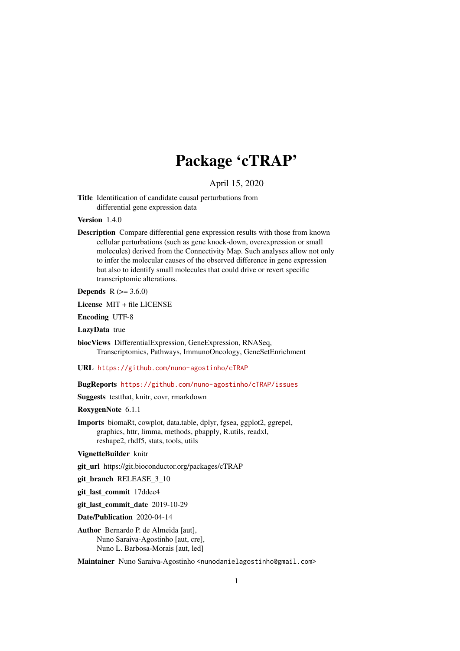# Package 'cTRAP'

# April 15, 2020

Title Identification of candidate causal perturbations from differential gene expression data

Version 1.4.0

Description Compare differential gene expression results with those from known cellular perturbations (such as gene knock-down, overexpression or small molecules) derived from the Connectivity Map. Such analyses allow not only to infer the molecular causes of the observed difference in gene expression but also to identify small molecules that could drive or revert specific transcriptomic alterations.

**Depends**  $R (= 3.6.0)$ 

License MIT + file LICENSE

Encoding UTF-8

LazyData true

biocViews DifferentialExpression, GeneExpression, RNASeq, Transcriptomics, Pathways, ImmunoOncology, GeneSetEnrichment

URL <https://github.com/nuno-agostinho/cTRAP>

BugReports <https://github.com/nuno-agostinho/cTRAP/issues>

Suggests testthat, knitr, covr, rmarkdown

RoxygenNote 6.1.1

- Imports biomaRt, cowplot, data.table, dplyr, fgsea, ggplot2, ggrepel, graphics, httr, limma, methods, pbapply, R.utils, readxl, reshape2, rhdf5, stats, tools, utils
- VignetteBuilder knitr

git\_url https://git.bioconductor.org/packages/cTRAP

git branch RELEASE 3 10

git\_last\_commit 17ddee4

git\_last\_commit\_date 2019-10-29

Date/Publication 2020-04-14

Author Bernardo P. de Almeida [aut], Nuno Saraiva-Agostinho [aut, cre], Nuno L. Barbosa-Morais [aut, led]

Maintainer Nuno Saraiva-Agostinho <nunodanielagostinho@gmail.com>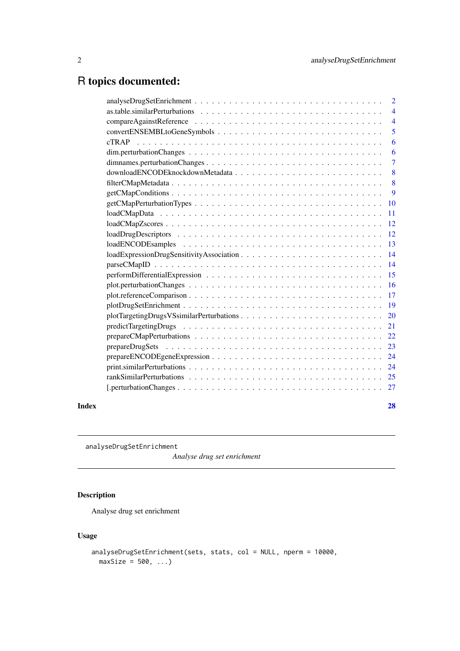# <span id="page-1-0"></span>R topics documented:

| $\overline{2}$  |
|-----------------|
| $\overline{4}$  |
| $\overline{4}$  |
| 5               |
| 6               |
| 6               |
| 7               |
| 8               |
| 8               |
| 9               |
| $\overline{10}$ |
| 11              |
| 12              |
| 12              |
| 13              |
| 14              |
| 14              |
| 15              |
| 16              |
| <b>17</b>       |
| 19              |
| 20              |
| 21              |
| 22              |
| 23              |
|                 |
| -24             |
| 25              |
| 27              |
|                 |

# **Index [28](#page-27-0) Propose 28 Propose 28 Propose 28 Propose 28 Propose 28 Propose 28 Propose 28 Propose 28 Propose 28 Pro**

<span id="page-1-1"></span>analyseDrugSetEnrichment

*Analyse drug set enrichment*

# Description

Analyse drug set enrichment

# Usage

```
analyseDrugSetEnrichment(sets, stats, col = NULL, nperm = 10000,
 maxSize = 500, ...
```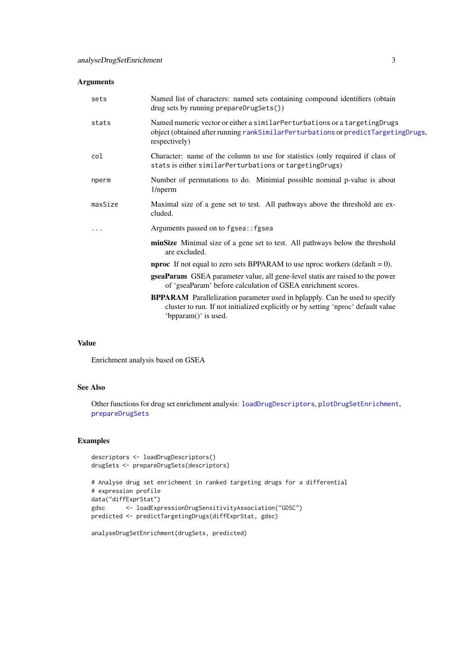# <span id="page-2-0"></span>Arguments

| sets    | Named list of characters: named sets containing compound identifiers (obtain<br>drug sets by running prepareDrugSets())                                                                        |
|---------|------------------------------------------------------------------------------------------------------------------------------------------------------------------------------------------------|
| stats   | Named numeric vector or either a similarPerturbations or a targetingDrugs<br>object (obtained after running rankSimilarPerturbations or predictTargetingDrugs,<br>respectively)                |
| col     | Character: name of the column to use for statistics (only required if class of<br>stats is either similarPerturbations or targetingDrugs)                                                      |
| nperm   | Number of permutations to do. Minimial possible nominal p-value is about<br>1/nperm                                                                                                            |
| maxSize | Maximal size of a gene set to test. All pathways above the threshold are ex-<br>cluded.                                                                                                        |
|         | Arguments passed on to fgsea:: fgsea                                                                                                                                                           |
|         | minSize Minimal size of a gene set to test. All pathways below the threshold<br>are excluded.                                                                                                  |
|         | <b>nproc</b> If not equal to zero sets BPPARAM to use nproc workers (default $= 0$ ).                                                                                                          |
|         | gseaParam GSEA parameter value, all gene-level statis are raised to the power<br>of 'gseaParam' before calculation of GSEA enrichment scores.                                                  |
|         | <b>BPPARAM</b> Parallelization parameter used in bplapply. Can be used to specify<br>cluster to run. If not initialized explicitly or by setting 'nproc' default value<br>'bpparam()' is used. |

# Value

Enrichment analysis based on GSEA

# See Also

Other functions for drug set enrichment analysis: [loadDrugDescriptors](#page-11-1), [plotDrugSetEnrichment](#page-18-1), [prepareDrugSets](#page-22-1)

# Examples

```
descriptors <- loadDrugDescriptors()
drugSets <- prepareDrugSets(descriptors)
# Analyse drug set enrichment in ranked targeting drugs for a differential
```

```
# expression profile
data("diffExprStat")
gdsc <- loadExpressionDrugSensitivityAssociation("GDSC")
predicted <- predictTargetingDrugs(diffExprStat, gdsc)
```
analyseDrugSetEnrichment(drugSets, predicted)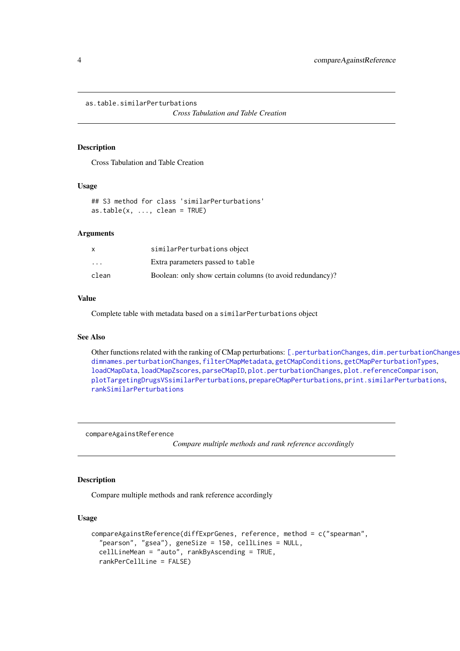<span id="page-3-1"></span><span id="page-3-0"></span>as.table.similarPerturbations

*Cross Tabulation and Table Creation*

# Description

Cross Tabulation and Table Creation

#### Usage

## S3 method for class 'similarPerturbations' as.table $(x, \ldots,$  clean = TRUE)

#### Arguments

| x                       | similarPerturbations object                               |
|-------------------------|-----------------------------------------------------------|
| $\cdot$ $\cdot$ $\cdot$ | Extra parameters passed to table                          |
| clean                   | Boolean: only show certain columns (to avoid redundancy)? |

# Value

Complete table with metadata based on a similarPerturbations object

#### See Also

Other functions related with the ranking of CMap perturbations: [\[.perturbationChanges](#page-26-1), [dim.perturbationChanges](#page-5-1) [dimnames.perturbationChanges](#page-6-1), [filterCMapMetadata](#page-7-1), [getCMapConditions](#page-8-1), [getCMapPerturbationTypes](#page-9-1), [loadCMapData](#page-10-1), [loadCMapZscores](#page-11-2), [parseCMapID](#page-13-1), [plot.perturbationChanges](#page-15-1), [plot.referenceComparison](#page-16-1), [plotTargetingDrugsVSsimilarPerturbations](#page-19-1), [prepareCMapPerturbations](#page-21-1), [print.similarPerturbations](#page-23-1), [rankSimilarPerturbations](#page-24-1)

compareAgainstReference

*Compare multiple methods and rank reference accordingly*

# Description

Compare multiple methods and rank reference accordingly

#### Usage

```
compareAgainstReference(diffExprGenes, reference, method = c("spearman",
  "pearson", "gsea"), geneSize = 150, cellLines = NULL,
 cellLineMean = "auto", rankByAscending = TRUE,
 rankPerCellLine = FALSE)
```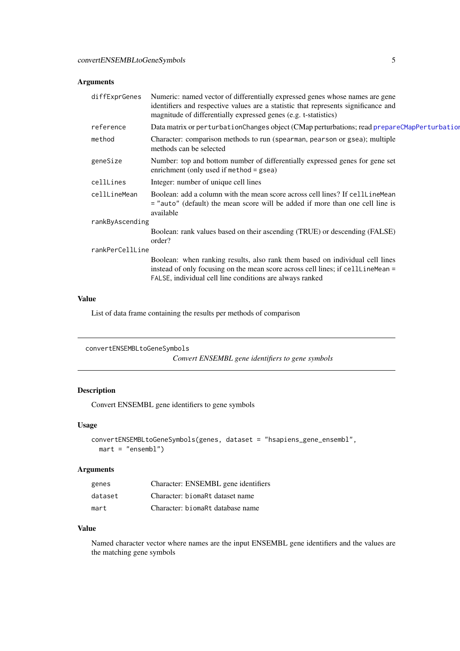# <span id="page-4-0"></span>Arguments

| diffExprGenes   | Numeric: named vector of differentially expressed genes whose names are gene<br>identifiers and respective values are a statistic that represents significance and<br>magnitude of differentially expressed genes (e.g. t-statistics) |
|-----------------|---------------------------------------------------------------------------------------------------------------------------------------------------------------------------------------------------------------------------------------|
| reference       | Data matrix or perturbationChanges object (CMap perturbations; read prepareCMapPerturbation                                                                                                                                           |
| method          | Character: comparison methods to run (spearman, pearson or gsea); multiple<br>methods can be selected                                                                                                                                 |
| geneSize        | Number: top and bottom number of differentially expressed genes for gene set<br>enrichment (only used if method = gsea)                                                                                                               |
| cellLines       | Integer: number of unique cell lines                                                                                                                                                                                                  |
| cellLineMean    | Boolean: add a column with the mean score across cell lines? If cell Line Mean<br>= "auto" (default) the mean score will be added if more than one cell line is<br>available                                                          |
| rankByAscending |                                                                                                                                                                                                                                       |
|                 | Boolean: rank values based on their ascending (TRUE) or descending (FALSE)<br>order?                                                                                                                                                  |
| rankPerCellLine |                                                                                                                                                                                                                                       |
|                 | Boolean: when ranking results, also rank them based on individual cell lines<br>instead of only focusing on the mean score across cell lines; if cell LineMean =<br>FALSE, individual cell line conditions are always ranked          |

# Value

List of data frame containing the results per methods of comparison

```
convertENSEMBLtoGeneSymbols
```
*Convert ENSEMBL gene identifiers to gene symbols*

# Description

Convert ENSEMBL gene identifiers to gene symbols

# Usage

```
convertENSEMBLtoGeneSymbols(genes, dataset = "hsapiens_gene_ensembl",
 mart = "ensemble']
```
# Arguments

| genes   | Character: ENSEMBL gene identifiers |
|---------|-------------------------------------|
| dataset | Character: biomark dataset name     |
| mart    | Character: biomaRt database name    |

# Value

Named character vector where names are the input ENSEMBL gene identifiers and the values are the matching gene symbols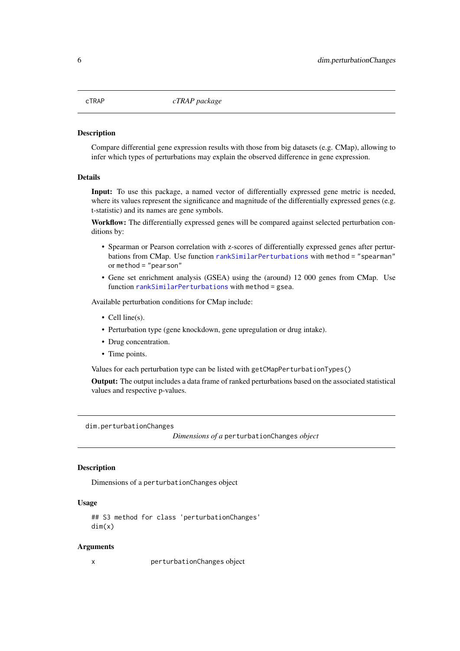<span id="page-5-0"></span>

# Description

Compare differential gene expression results with those from big datasets (e.g. CMap), allowing to infer which types of perturbations may explain the observed difference in gene expression.

#### Details

Input: To use this package, a named vector of differentially expressed gene metric is needed, where its values represent the significance and magnitude of the differentially expressed genes (e.g. t-statistic) and its names are gene symbols.

Workflow: The differentially expressed genes will be compared against selected perturbation conditions by:

- Spearman or Pearson correlation with z-scores of differentially expressed genes after perturbations from CMap. Use function [rankSimilarPerturbations](#page-24-1) with method = "spearman" or method = "pearson"
- Gene set enrichment analysis (GSEA) using the (around) 12 000 genes from CMap. Use function [rankSimilarPerturbations](#page-24-1) with method = gsea.

Available perturbation conditions for CMap include:

- Cell line(s).
- Perturbation type (gene knockdown, gene upregulation or drug intake).
- Drug concentration.
- Time points.

Values for each perturbation type can be listed with getCMapPerturbationTypes()

Output: The output includes a data frame of ranked perturbations based on the associated statistical values and respective p-values.

<span id="page-5-1"></span>dim.perturbationChanges

*Dimensions of a* perturbationChanges *object*

#### Description

Dimensions of a perturbationChanges object

# Usage

```
## S3 method for class 'perturbationChanges'
dim(x)
```
# Arguments

x perturbationChanges object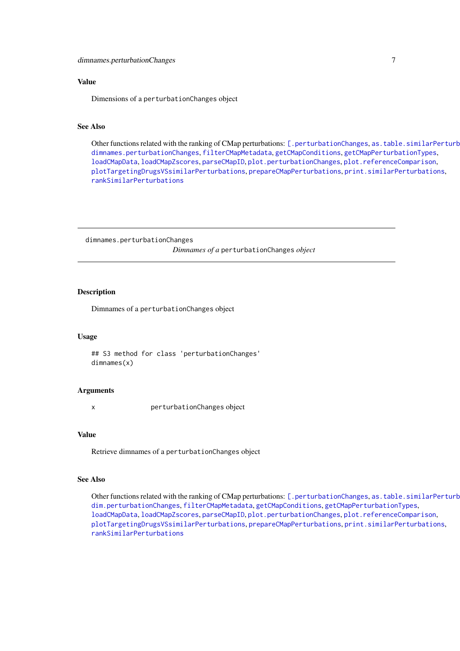# <span id="page-6-0"></span>Value

Dimensions of a perturbationChanges object

# See Also

Other functions related with the ranking of CMap perturbations: [\[.perturbationChanges](#page-26-1), as.table.similarPerturb [dimnames.perturbationChanges](#page-6-1), [filterCMapMetadata](#page-7-1), [getCMapConditions](#page-8-1), [getCMapPerturbationTypes](#page-9-1), [loadCMapData](#page-10-1), [loadCMapZscores](#page-11-2), [parseCMapID](#page-13-1), [plot.perturbationChanges](#page-15-1), [plot.referenceComparison](#page-16-1), [plotTargetingDrugsVSsimilarPerturbations](#page-19-1), [prepareCMapPerturbations](#page-21-1), [print.similarPerturbations](#page-23-1), [rankSimilarPerturbations](#page-24-1)

<span id="page-6-1"></span>dimnames.perturbationChanges

*Dimnames of a* perturbationChanges *object*

## Description

Dimnames of a perturbationChanges object

#### Usage

## S3 method for class 'perturbationChanges' dimnames(x)

#### Arguments

x perturbationChanges object

# Value

Retrieve dimnames of a perturbationChanges object

#### See Also

Other functions related with the ranking of CMap perturbations: [\[.perturbationChanges](#page-26-1), as.table.similarPerturb [dim.perturbationChanges](#page-5-1), [filterCMapMetadata](#page-7-1), [getCMapConditions](#page-8-1), [getCMapPerturbationTypes](#page-9-1), [loadCMapData](#page-10-1), [loadCMapZscores](#page-11-2), [parseCMapID](#page-13-1), [plot.perturbationChanges](#page-15-1), [plot.referenceComparison](#page-16-1), [plotTargetingDrugsVSsimilarPerturbations](#page-19-1), [prepareCMapPerturbations](#page-21-1), [print.similarPerturbations](#page-23-1), [rankSimilarPerturbations](#page-24-1)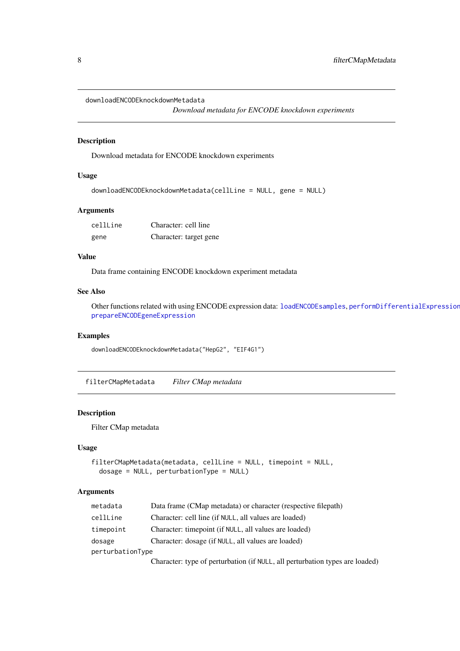```
downloadENCODEknockdownMetadata
```
*Download metadata for ENCODE knockdown experiments*

# Description

Download metadata for ENCODE knockdown experiments

# Usage

```
downloadENCODEknockdownMetadata(cellLine = NULL, gene = NULL)
```
#### Arguments

| cellLine | Character: cell line   |
|----------|------------------------|
| gene     | Character: target gene |

#### Value

Data frame containing ENCODE knockdown experiment metadata

#### See Also

Other functions related with using ENCODE expression data: [loadENCODEsamples](#page-12-1), [performDifferentialExpression](#page-14-1), [prepareENCODEgeneExpression](#page-23-2)

# Examples

downloadENCODEknockdownMetadata("HepG2", "EIF4G1")

<span id="page-7-1"></span>filterCMapMetadata *Filter CMap metadata*

# Description

Filter CMap metadata

# Usage

```
filterCMapMetadata(metadata, cellLine = NULL, timepoint = NULL,
 dosage = NULL, perturbationType = NULL)
```
# Arguments

| metadata         | Data frame (CMap metadata) or character (respective filepath)     |
|------------------|-------------------------------------------------------------------|
| cellLine         | Character: cell line (if NULL, all values are loaded)             |
| timepoint        | Character: timepoint (if NULL, all values are loaded)             |
| dosage           | Character: dosage (if NULL, all values are loaded)                |
| perturbationType |                                                                   |
|                  | $\sim$ 1 $\sim$ $\sim$ 1 $\sim$ $\sim$ 1 $\sim$ 1 $\sim$ 1 $\sim$ |

Character: type of perturbation (if NULL, all perturbation types are loaded)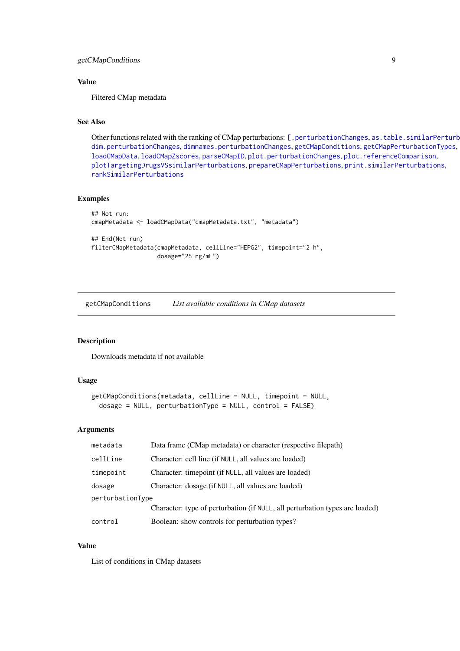```
getCMapConditions 9
```
# Value

Filtered CMap metadata

# See Also

Other functions related with the ranking of CMap perturbations: [\[.perturbationChanges](#page-26-1), as.table.similarPerturb [dim.perturbationChanges](#page-5-1), [dimnames.perturbationChanges](#page-6-1), [getCMapConditions](#page-8-1), [getCMapPerturbationTypes](#page-9-1), [loadCMapData](#page-10-1), [loadCMapZscores](#page-11-2), [parseCMapID](#page-13-1), [plot.perturbationChanges](#page-15-1), [plot.referenceComparison](#page-16-1), [plotTargetingDrugsVSsimilarPerturbations](#page-19-1), [prepareCMapPerturbations](#page-21-1), [print.similarPerturbations](#page-23-1), [rankSimilarPerturbations](#page-24-1)

# Examples

```
## Not run:
cmapMetadata <- loadCMapData("cmapMetadata.txt", "metadata")
## End(Not run)
filterCMapMetadata(cmapMetadata, cellLine="HEPG2", timepoint="2 h",
                   dosage="25 ng/mL")
```
<span id="page-8-1"></span>getCMapConditions *List available conditions in CMap datasets*

#### Description

Downloads metadata if not available

# Usage

```
getCMapConditions(metadata, cellLine = NULL, timepoint = NULL,
  dosage = NULL, perturbationType = NULL, control = FALSE)
```
#### Arguments

| metadata         | Data frame (CMap metadata) or character (respective filepath)                |
|------------------|------------------------------------------------------------------------------|
| cellLine         | Character: cell line (if NULL, all values are loaded)                        |
| timepoint        | Character: timepoint (if NULL, all values are loaded)                        |
| dosage           | Character: dosage (if NULL, all values are loaded)                           |
| perturbationType |                                                                              |
|                  | Character: type of perturbation (if NULL, all perturbation types are loaded) |
| control          | Boolean: show controls for perturbation types?                               |

# Value

List of conditions in CMap datasets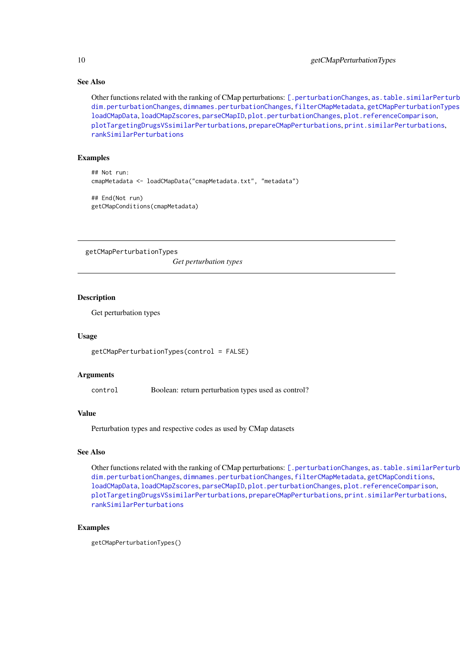# See Also

Other functions related with the ranking of CMap perturbations: [\[.perturbationChanges](#page-26-1), as.table.similarPerturb [dim.perturbationChanges](#page-5-1), [dimnames.perturbationChanges](#page-6-1), [filterCMapMetadata](#page-7-1), [getCMapPerturbationTypes](#page-9-1), [loadCMapData](#page-10-1), [loadCMapZscores](#page-11-2), [parseCMapID](#page-13-1), [plot.perturbationChanges](#page-15-1), [plot.referenceComparison](#page-16-1), [plotTargetingDrugsVSsimilarPerturbations](#page-19-1), [prepareCMapPerturbations](#page-21-1), [print.similarPerturbations](#page-23-1), [rankSimilarPerturbations](#page-24-1)

# Examples

```
## Not run:
cmapMetadata <- loadCMapData("cmapMetadata.txt", "metadata")
## End(Not run)
```
getCMapConditions(cmapMetadata)

<span id="page-9-1"></span>getCMapPerturbationTypes

*Get perturbation types*

#### Description

Get perturbation types

#### Usage

getCMapPerturbationTypes(control = FALSE)

#### Arguments

control Boolean: return perturbation types used as control?

#### Value

Perturbation types and respective codes as used by CMap datasets

# See Also

Other functions related with the ranking of CMap perturbations: [\[.perturbationChanges](#page-26-1), as.table.similarPerturb [dim.perturbationChanges](#page-5-1), [dimnames.perturbationChanges](#page-6-1), [filterCMapMetadata](#page-7-1), [getCMapConditions](#page-8-1), [loadCMapData](#page-10-1), [loadCMapZscores](#page-11-2), [parseCMapID](#page-13-1), [plot.perturbationChanges](#page-15-1), [plot.referenceComparison](#page-16-1), [plotTargetingDrugsVSsimilarPerturbations](#page-19-1), [prepareCMapPerturbations](#page-21-1), [print.similarPerturbations](#page-23-1), [rankSimilarPerturbations](#page-24-1)

# Examples

getCMapPerturbationTypes()

<span id="page-9-0"></span>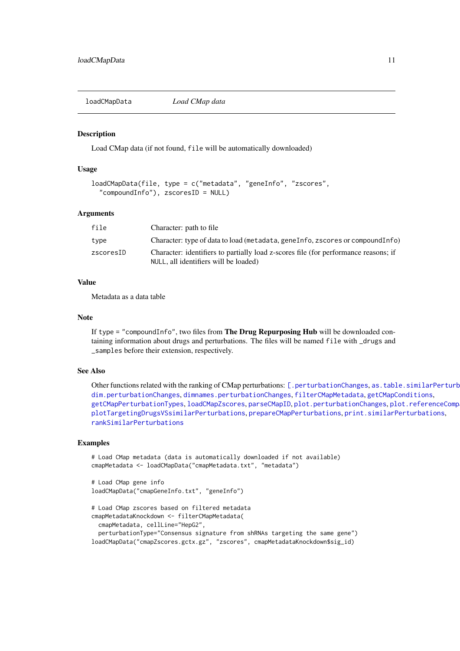<span id="page-10-1"></span><span id="page-10-0"></span>loadCMapData *Load CMap data*

#### **Description**

Load CMap data (if not found, file will be automatically downloaded)

# Usage

```
loadCMapData(file, type = c("metadata", "geneInfo", "zscores",
  "compoundInfo"), zscoresID = NULL)
```
#### Arguments

| file      | Character: path to file                                                                                                      |
|-----------|------------------------------------------------------------------------------------------------------------------------------|
| type      | Character: type of data to load (metadata, gene Info, z scores or compound Info)                                             |
| zscoresID | Character: identifiers to partially load z-scores file (for performance reasons; if<br>NULL, all identifiers will be loaded) |

#### Value

Metadata as a data table

#### Note

If type = "compoundInfo", two files from The Drug Repurposing Hub will be downloaded containing information about drugs and perturbations. The files will be named file with \_drugs and \_samples before their extension, respectively.

#### See Also

Other functions related with the ranking of CMap perturbations: [\[.perturbationChanges](#page-26-1), as.table.similarPerturb [dim.perturbationChanges](#page-5-1), [dimnames.perturbationChanges](#page-6-1), [filterCMapMetadata](#page-7-1), [getCMapConditions](#page-8-1), [getCMapPerturbationTypes](#page-9-1), [loadCMapZscores](#page-11-2), [parseCMapID](#page-13-1), [plot.perturbationChanges](#page-15-1), plot.referenceComp [plotTargetingDrugsVSsimilarPerturbations](#page-19-1), [prepareCMapPerturbations](#page-21-1), [print.similarPerturbations](#page-23-1), [rankSimilarPerturbations](#page-24-1)

## Examples

```
# Load CMap metadata (data is automatically downloaded if not available)
cmapMetadata <- loadCMapData("cmapMetadata.txt", "metadata")
```

```
# Load CMap gene info
loadCMapData("cmapGeneInfo.txt", "geneInfo")
# Load CMap zscores based on filtered metadata
cmapMetadataKnockdown <- filterCMapMetadata(
  cmapMetadata, cellLine="HepG2",
  perturbationType="Consensus signature from shRNAs targeting the same gene")
```

```
loadCMapData("cmapZscores.gctx.gz", "zscores", cmapMetadataKnockdown$sig_id)
```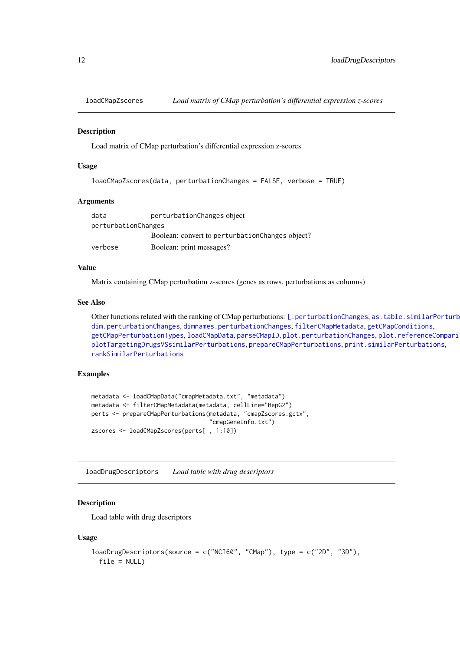<span id="page-11-2"></span><span id="page-11-0"></span>

# Description

Load matrix of CMap perturbation's differential expression z-scores

#### Usage

```
loadCMapZscores(data, perturbationChanges = FALSE, verbose = TRUE)
```
#### Arguments

data perturbationChanges object perturbationChanges Boolean: convert to perturbationChanges object? verbose Boolean: print messages?

# Value

Matrix containing CMap perturbation z-scores (genes as rows, perturbations as columns)

# See Also

Other functions related with the ranking of CMap perturbations: [\[.perturbationChanges](#page-26-1), as.table.similarPerturb [dim.perturbationChanges](#page-5-1), [dimnames.perturbationChanges](#page-6-1), [filterCMapMetadata](#page-7-1), [getCMapConditions](#page-8-1), [getCMapPerturbationTypes](#page-9-1), [loadCMapData](#page-10-1), [parseCMapID](#page-13-1), [plot.perturbationChanges](#page-15-1), plot.referenceCompari [plotTargetingDrugsVSsimilarPerturbations](#page-19-1), [prepareCMapPerturbations](#page-21-1), [print.similarPerturbations](#page-23-1), [rankSimilarPerturbations](#page-24-1)

#### Examples

```
metadata <- loadCMapData("cmapMetadata.txt", "metadata")
metadata <- filterCMapMetadata(metadata, cellLine="HepG2")
perts <- prepareCMapPerturbations(metadata, "cmapZscores.gctx",
                                  "cmapGeneInfo.txt")
zscores <- loadCMapZscores(perts[ , 1:10])
```
<span id="page-11-1"></span>loadDrugDescriptors *Load table with drug descriptors*

#### Description

Load table with drug descriptors

#### Usage

```
loadDrugDescriptors(source = c("NCI60", "CMap"), type = c("2D", "3D"),
  file = NULL)
```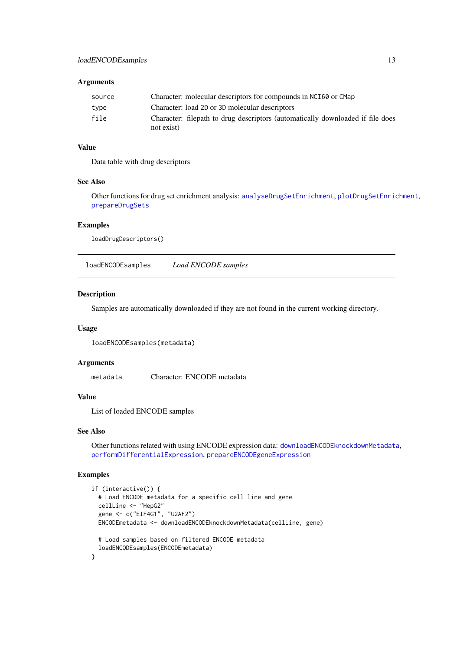# <span id="page-12-0"></span>Arguments

| source | Character: molecular descriptors for compounds in NCI60 or CMap                              |
|--------|----------------------------------------------------------------------------------------------|
| type   | Character: load 2D or 3D molecular descriptors                                               |
| file   | Character: filepath to drug descriptors (automatically downloaded if file does<br>not exist) |

# Value

Data table with drug descriptors

## See Also

Other functions for drug set enrichment analysis: [analyseDrugSetEnrichment](#page-1-1), [plotDrugSetEnrichment](#page-18-1), [prepareDrugSets](#page-22-1)

#### Examples

loadDrugDescriptors()

<span id="page-12-1"></span>loadENCODEsamples *Load ENCODE samples*

#### Description

Samples are automatically downloaded if they are not found in the current working directory.

# Usage

loadENCODEsamples(metadata)

#### Arguments

metadata Character: ENCODE metadata

# Value

List of loaded ENCODE samples

#### See Also

Other functions related with using ENCODE expression data: [downloadENCODEknockdownMetadata](#page-7-2), [performDifferentialExpression](#page-14-1), [prepareENCODEgeneExpression](#page-23-2)

# Examples

```
if (interactive()) {
  # Load ENCODE metadata for a specific cell line and gene
 cellLine <- "HepG2"
  gene <- c("EIF4G1", "U2AF2")
 ENCODEmetadata <- downloadENCODEknockdownMetadata(cellLine, gene)
  # Load samples based on filtered ENCODE metadata
  loadENCODEsamples(ENCODEmetadata)
}
```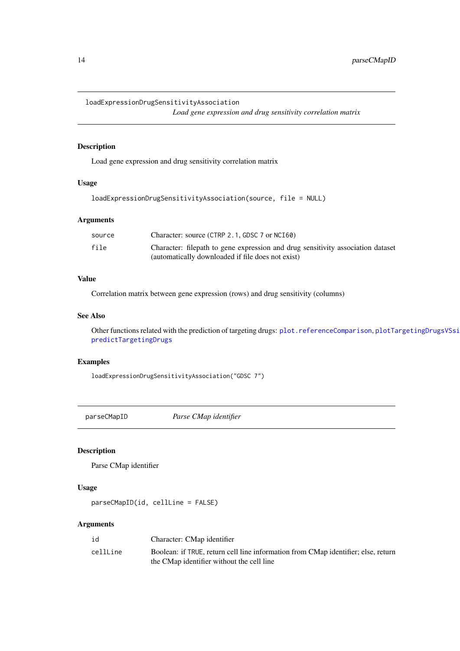<span id="page-13-2"></span><span id="page-13-0"></span>loadExpressionDrugSensitivityAssociation

*Load gene expression and drug sensitivity correlation matrix*

# Description

Load gene expression and drug sensitivity correlation matrix

# Usage

```
loadExpressionDrugSensitivityAssociation(source, file = NULL)
```
# Arguments

| source | Character: source (CTRP 2.1, GDSC 7 or NCI60)                                   |
|--------|---------------------------------------------------------------------------------|
| file   | Character: filepath to gene expression and drug sensitivity association dataset |
|        | (automatically downloaded if file does not exist)                               |

# Value

Correlation matrix between gene expression (rows) and drug sensitivity (columns)

#### See Also

Other functions related with the prediction of targeting drugs: [plot.referenceComparison](#page-16-1), plotTargetingDrugsVSsi [predictTargetingDrugs](#page-20-1)

# Examples

loadExpressionDrugSensitivityAssociation("GDSC 7")

<span id="page-13-1"></span>parseCMapID *Parse CMap identifier*

#### Description

Parse CMap identifier

# Usage

parseCMapID(id, cellLine = FALSE)

#### Arguments

| id       | Character: CMap identifier                                                        |
|----------|-----------------------------------------------------------------------------------|
| cellLine | Boolean: if TRUE, return cell line information from CMap identifier; else, return |
|          | the CMap identifier without the cell line                                         |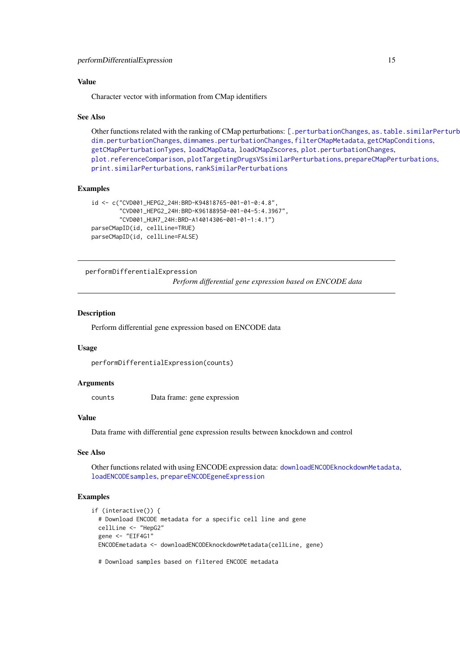#### <span id="page-14-0"></span>Value

Character vector with information from CMap identifiers

#### See Also

Other functions related with the ranking of CMap perturbations: [\[.perturbationChanges](#page-26-1), as.table.similarPerturb [dim.perturbationChanges](#page-5-1), [dimnames.perturbationChanges](#page-6-1), [filterCMapMetadata](#page-7-1), [getCMapConditions](#page-8-1), [getCMapPerturbationTypes](#page-9-1), [loadCMapData](#page-10-1), [loadCMapZscores](#page-11-2), [plot.perturbationChanges](#page-15-1), [plot.referenceComparison](#page-16-1), [plotTargetingDrugsVSsimilarPerturbations](#page-19-1), [prepareCMapPerturbations](#page-21-1), [print.similarPerturbations](#page-23-1), [rankSimilarPerturbations](#page-24-1)

#### Examples

```
id <- c("CVD001_HEPG2_24H:BRD-K94818765-001-01-0:4.8",
        "CVD001_HEPG2_24H:BRD-K96188950-001-04-5:4.3967",
        "CVD001_HUH7_24H:BRD-A14014306-001-01-1:4.1")
parseCMapID(id, cellLine=TRUE)
parseCMapID(id, cellLine=FALSE)
```
<span id="page-14-1"></span>performDifferentialExpression *Perform differential gene expression based on ENCODE data*

#### Description

Perform differential gene expression based on ENCODE data

#### Usage

performDifferentialExpression(counts)

#### Arguments

counts Data frame: gene expression

# Value

Data frame with differential gene expression results between knockdown and control

# See Also

Other functions related with using ENCODE expression data: [downloadENCODEknockdownMetadata](#page-7-2), [loadENCODEsamples](#page-12-1), [prepareENCODEgeneExpression](#page-23-2)

#### Examples

```
if (interactive()) {
  # Download ENCODE metadata for a specific cell line and gene
  cellLine <- "HepG2"
  gene <- "EIF4G1"
  ENCODEmetadata <- downloadENCODEknockdownMetadata(cellLine, gene)
```
# Download samples based on filtered ENCODE metadata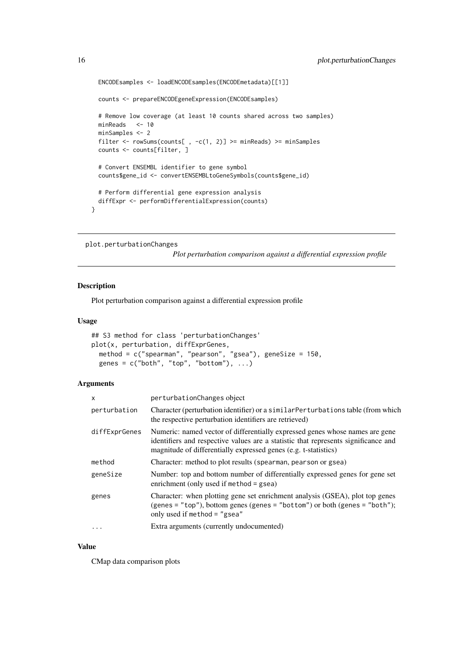```
ENCODEsamples <- loadENCODEsamples(ENCODEmetadata)[[1]]
counts <- prepareENCODEgeneExpression(ENCODEsamples)
# Remove low coverage (at least 10 counts shared across two samples)
minReads <- 10
minSamples <- 2
filter <- rowSums(counts[, -c(1, 2)] >= minReads) >= minSamples
counts <- counts[filter, ]
# Convert ENSEMBL identifier to gene symbol
counts$gene_id <- convertENSEMBLtoGeneSymbols(counts$gene_id)
# Perform differential gene expression analysis
diffExpr <- performDifferentialExpression(counts)
```

```
plot.perturbationChanges
```
*Plot perturbation comparison against a differential expression profile*

# Description

}

Plot perturbation comparison against a differential expression profile

#### Usage

```
## S3 method for class 'perturbationChanges'
plot(x, perturbation, diffExprGenes,
 method = c("spearman", "pearson", "gsea"), geneSize = 150,
 genes = c("both", "top", "bottom"), ...)
```
#### Arguments

| $\mathsf{x}$  | perturbationChanges object                                                                                                                                                                                                            |
|---------------|---------------------------------------------------------------------------------------------------------------------------------------------------------------------------------------------------------------------------------------|
| perturbation  | Character (perturbation identifier) or a similar Perturbations table (from which<br>the respective perturbation identifiers are retrieved)                                                                                            |
| diffExprGenes | Numeric: named vector of differentially expressed genes whose names are gene<br>identifiers and respective values are a statistic that represents significance and<br>magnitude of differentially expressed genes (e.g. t-statistics) |
| method        | Character: method to plot results (spearman, pearson or gsea)                                                                                                                                                                         |
| geneSize      | Number: top and bottom number of differentially expressed genes for gene set<br>enrichment (only used if method = gsea)                                                                                                               |
| genes         | Character: when plotting gene set enrichment analysis (GSEA), plot top genes<br>(genes = "top"), bottom genes (genes = "bottom") or both (genes = "both");<br>only used if method $=$ "gsea"                                          |
| .             | Extra arguments (currently undocumented)                                                                                                                                                                                              |

# Value

CMap data comparison plots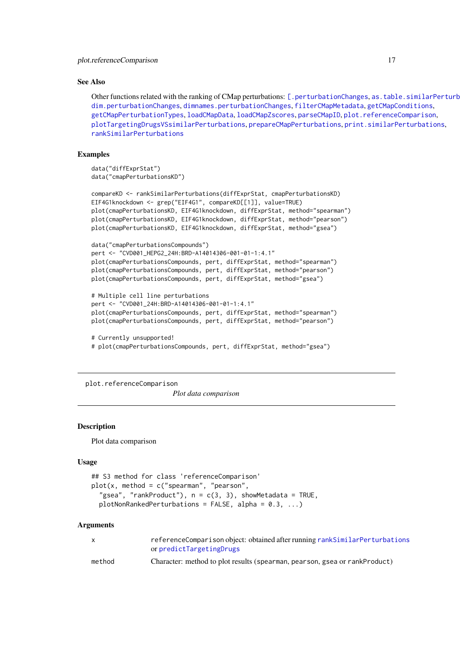#### <span id="page-16-0"></span>See Also

Other functions related with the ranking of CMap perturbations: [\[.perturbationChanges](#page-26-1), as.table.similarPerturb [dim.perturbationChanges](#page-5-1), [dimnames.perturbationChanges](#page-6-1), [filterCMapMetadata](#page-7-1), [getCMapConditions](#page-8-1), [getCMapPerturbationTypes](#page-9-1), [loadCMapData](#page-10-1), [loadCMapZscores](#page-11-2), [parseCMapID](#page-13-1), [plot.referenceComparison](#page-16-1), [plotTargetingDrugsVSsimilarPerturbations](#page-19-1), [prepareCMapPerturbations](#page-21-1), [print.similarPerturbations](#page-23-1), [rankSimilarPerturbations](#page-24-1)

#### Examples

```
data("diffExprStat")
data("cmapPerturbationsKD")
compareKD <- rankSimilarPerturbations(diffExprStat, cmapPerturbationsKD)
EIF4G1knockdown <- grep("EIF4G1", compareKD[[1]], value=TRUE)
plot(cmapPerturbationsKD, EIF4G1knockdown, diffExprStat, method="spearman")
plot(cmapPerturbationsKD, EIF4G1knockdown, diffExprStat, method="pearson")
plot(cmapPerturbationsKD, EIF4G1knockdown, diffExprStat, method="gsea")
data("cmapPerturbationsCompounds")
pert <- "CVD001_HEPG2_24H:BRD-A14014306-001-01-1:4.1"
plot(cmapPerturbationsCompounds, pert, diffExprStat, method="spearman")
plot(cmapPerturbationsCompounds, pert, diffExprStat, method="pearson")
plot(cmapPerturbationsCompounds, pert, diffExprStat, method="gsea")
# Multiple cell line perturbations
pert <- "CVD001_24H:BRD-A14014306-001-01-1:4.1"
plot(cmapPerturbationsCompounds, pert, diffExprStat, method="spearman")
plot(cmapPerturbationsCompounds, pert, diffExprStat, method="pearson")
# Currently unsupported!
# plot(cmapPerturbationsCompounds, pert, diffExprStat, method="gsea")
```
<span id="page-16-1"></span>plot.referenceComparison

*Plot data comparison*

# Description

Plot data comparison

#### Usage

```
## S3 method for class 'referenceComparison'
plot(x, method = c("spearman", "pearson","gsea", "rankProduct"), n = c(3, 3), showMetadata = TRUE,
  plotNonRankedPerturbations = FALSE, alpha = 0.3, ...)
```
#### Arguments

| $\mathsf{x}$ | referenceComparison object: obtained after running rankSimilarPerturbations<br>or predictTargetingDrugs |
|--------------|---------------------------------------------------------------------------------------------------------|
| method       | Character: method to plot results (spearman, pearson, gsea or rankProduct)                              |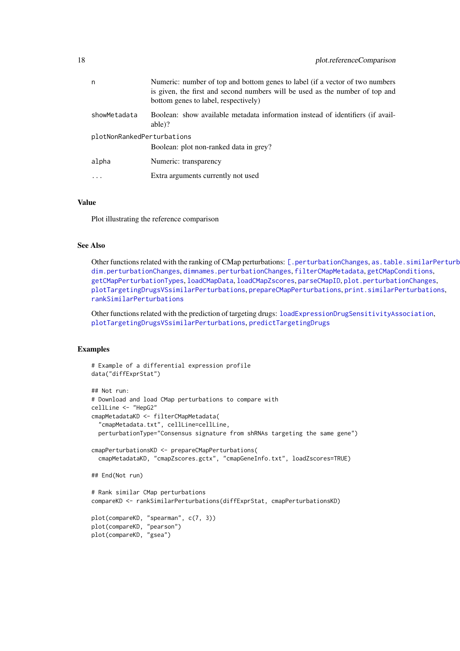<span id="page-17-0"></span>

| 18 | plot.referenceComparison |
|----|--------------------------|
|    |                          |

| n                          | Numeric: number of top and bottom genes to label (if a vector of two numbers<br>is given, the first and second numbers will be used as the number of top and<br>bottom genes to label, respectively) |  |
|----------------------------|------------------------------------------------------------------------------------------------------------------------------------------------------------------------------------------------------|--|
| showMetadata               | Boolean: show available metadata information instead of identifiers (if avail-<br>able)?                                                                                                             |  |
| plotNonRankedPerturbations |                                                                                                                                                                                                      |  |
|                            | Boolean: plot non-ranked data in grey?                                                                                                                                                               |  |
| alpha                      | Numeric: transparency                                                                                                                                                                                |  |
| $\ddots$                   | Extra arguments currently not used                                                                                                                                                                   |  |
|                            |                                                                                                                                                                                                      |  |

# Value

Plot illustrating the reference comparison

#### See Also

Other functions related with the ranking of CMap perturbations: [\[.perturbationChanges](#page-26-1), as.table.similarPerturb [dim.perturbationChanges](#page-5-1), [dimnames.perturbationChanges](#page-6-1), [filterCMapMetadata](#page-7-1), [getCMapConditions](#page-8-1), [getCMapPerturbationTypes](#page-9-1), [loadCMapData](#page-10-1), [loadCMapZscores](#page-11-2), [parseCMapID](#page-13-1), [plot.perturbationChanges](#page-15-1), [plotTargetingDrugsVSsimilarPerturbations](#page-19-1), [prepareCMapPerturbations](#page-21-1), [print.similarPerturbations](#page-23-1), [rankSimilarPerturbations](#page-24-1)

Other functions related with the prediction of targeting drugs: [loadExpressionDrugSensitivityAssociation](#page-13-2), [plotTargetingDrugsVSsimilarPerturbations](#page-19-1), [predictTargetingDrugs](#page-20-1)

#### Examples

```
# Example of a differential expression profile
data("diffExprStat")
## Not run:
# Download and load CMap perturbations to compare with
cellLine <- "HepG2"
cmapMetadataKD <- filterCMapMetadata(
  "cmapMetadata.txt", cellLine=cellLine,
  perturbationType="Consensus signature from shRNAs targeting the same gene")
cmapPerturbationsKD <- prepareCMapPerturbations(
  cmapMetadataKD, "cmapZscores.gctx", "cmapGeneInfo.txt", loadZscores=TRUE)
## End(Not run)
# Rank similar CMap perturbations
compareKD <- rankSimilarPerturbations(diffExprStat, cmapPerturbationsKD)
plot(compareKD, "spearman", c(7, 3))
plot(compareKD, "pearson")
plot(compareKD, "gsea")
```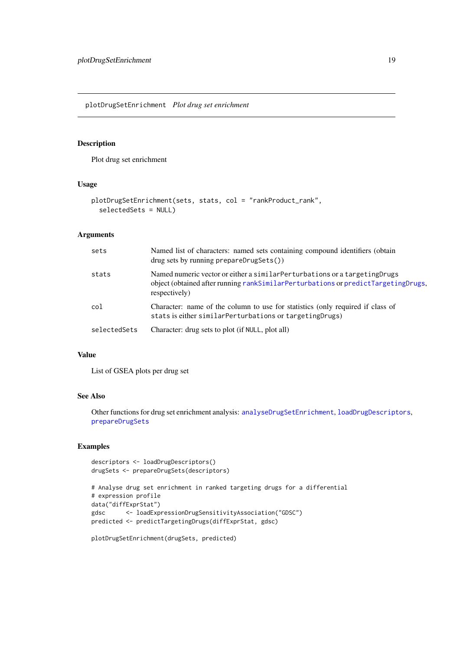<span id="page-18-1"></span><span id="page-18-0"></span>plotDrugSetEnrichment *Plot drug set enrichment*

# Description

Plot drug set enrichment

# Usage

```
plotDrugSetEnrichment(sets, stats, col = "rankProduct_rank",
 selectedSets = NULL)
```
# Arguments

| sets         | Named list of characters: named sets containing compound identifiers (obtain<br>drug sets by running prepareDrugSets())                                                               |
|--------------|---------------------------------------------------------------------------------------------------------------------------------------------------------------------------------------|
| stats        | Named numeric vector or either a similar Perturbations or a targeting Drugs<br>object (obtained after running rank Similar Perturbations or predict Targeting Drugs,<br>respectively) |
| col          | Character: name of the column to use for statistics (only required if class of<br>stats is either similar Perturbations or targeting Drugs)                                           |
| selectedSets | Character: drug sets to plot (if NULL, plot all)                                                                                                                                      |

# Value

List of GSEA plots per drug set

# See Also

Other functions for drug set enrichment analysis: [analyseDrugSetEnrichment](#page-1-1), [loadDrugDescriptors](#page-11-1), [prepareDrugSets](#page-22-1)

# Examples

```
descriptors <- loadDrugDescriptors()
drugSets <- prepareDrugSets(descriptors)
# Analyse drug set enrichment in ranked targeting drugs for a differential
# expression profile
data("diffExprStat")
gdsc <- loadExpressionDrugSensitivityAssociation("GDSC")
predicted <- predictTargetingDrugs(diffExprStat, gdsc)
```

```
plotDrugSetEnrichment(drugSets, predicted)
```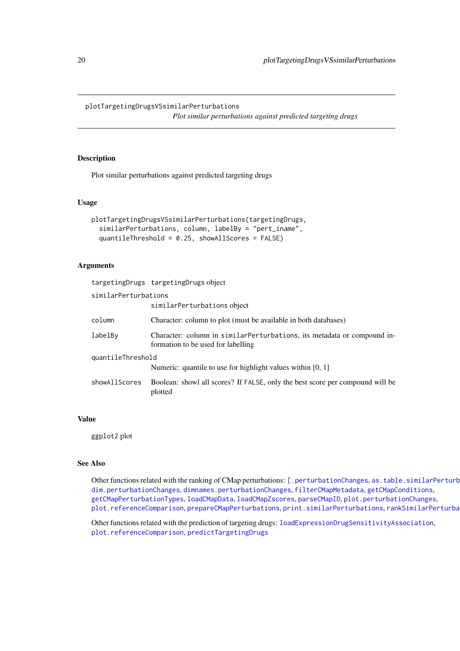<span id="page-19-1"></span><span id="page-19-0"></span>plotTargetingDrugsVSsimilarPerturbations

*Plot similar perturbations against predicted targeting drugs*

#### Description

Plot similar perturbations against predicted targeting drugs

# Usage

```
plotTargetingDrugsVSsimilarPerturbations(targetingDrugs,
  similarPerturbations, column, labelBy = "pert_iname",
 quantileThreshold = 0.25, showAllScores = FALSE)
```
# Arguments

|                                                     | targetingDrugs targetingDrugs object                                                                           |  |
|-----------------------------------------------------|----------------------------------------------------------------------------------------------------------------|--|
| similarPerturbations<br>similarPerturbations object |                                                                                                                |  |
| column                                              | Character: column to plot (must be available in both databases)                                                |  |
| labelBy                                             | Character: column in similar Perturbations, its metadata or compound in-<br>formation to be used for labelling |  |
| quantileThreshold                                   |                                                                                                                |  |
|                                                     | Numeric: quantile to use for highlight values within $[0, 1]$                                                  |  |
| showAllScores                                       | Boolean: showl all scores? If FALSE, only the best score per compound will be<br>plotted                       |  |

# Value

ggplot2 plot

# See Also

Other functions related with the ranking of CMap perturbations: [\[.perturbationChanges](#page-26-1), as.table.similarPerturb [dim.perturbationChanges](#page-5-1), [dimnames.perturbationChanges](#page-6-1), [filterCMapMetadata](#page-7-1), [getCMapConditions](#page-8-1), [getCMapPerturbationTypes](#page-9-1), [loadCMapData](#page-10-1), [loadCMapZscores](#page-11-2), [parseCMapID](#page-13-1), [plot.perturbationChanges](#page-15-1), [plot.referenceComparison](#page-16-1), [prepareCMapPerturbations](#page-21-1), [print.similarPerturbations](#page-23-1), [rankSimilarPerturbations](#page-24-1)

Other functions related with the prediction of targeting drugs: [loadExpressionDrugSensitivityAssociation](#page-13-2), [plot.referenceComparison](#page-16-1), [predictTargetingDrugs](#page-20-1)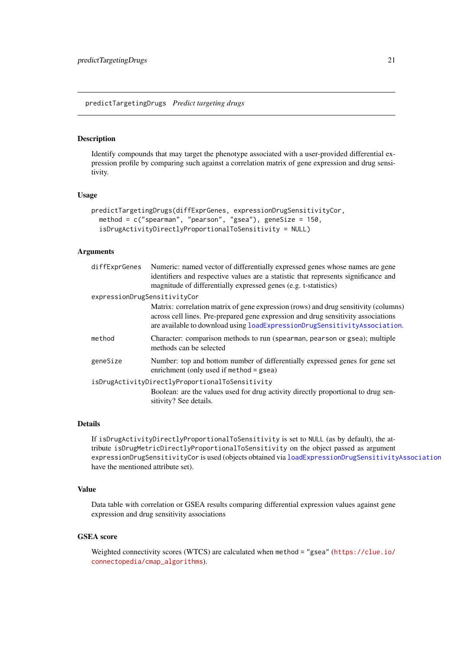<span id="page-20-1"></span><span id="page-20-0"></span>predictTargetingDrugs *Predict targeting drugs*

#### Description

Identify compounds that may target the phenotype associated with a user-provided differential expression profile by comparing such against a correlation matrix of gene expression and drug sensitivity.

#### Usage

```
predictTargetingDrugs(diffExprGenes, expressionDrugSensitivityCor,
 method = c("spearman", "pearson", "gsea"), geneSize = 150,
  isDrugActivityDirectlyProportionalToSensitivity = NULL)
```
# Arguments

| diffExprGenes                                   | Numeric: named vector of differentially expressed genes whose names are gene<br>identifiers and respective values are a statistic that represents significance and<br>magnitude of differentially expressed genes (e.g. t-statistics)                 |  |
|-------------------------------------------------|-------------------------------------------------------------------------------------------------------------------------------------------------------------------------------------------------------------------------------------------------------|--|
| expressionDrugSensitivityCor                    |                                                                                                                                                                                                                                                       |  |
|                                                 | Matrix: correlation matrix of gene expression (rows) and drug sensitivity (columns)<br>across cell lines. Pre-prepared gene expression and drug sensitivity associations<br>are available to download using loadExpressionDrugSensitivityAssociation. |  |
| method                                          | Character: comparison methods to run (spearman, pearson or gsea); multiple<br>methods can be selected                                                                                                                                                 |  |
| geneSize                                        | Number: top and bottom number of differentially expressed genes for gene set<br>enrichment (only used if method = gsea)                                                                                                                               |  |
| isDrugActivityDirectlyProportionalToSensitivity |                                                                                                                                                                                                                                                       |  |
|                                                 | Boolean: are the values used for drug activity directly proportional to drug sen-<br>sitivity? See details.                                                                                                                                           |  |

## Details

If isDrugActivityDirectlyProportionalToSensitivity is set to NULL (as by default), the attribute isDrugMetricDirectlyProportionalToSensitivity on the object passed as argument expressionDrugSensitivityCor is used (objects obtained via [loadExpressionDrugSensitivityAssociation](#page-13-2) have the mentioned attribute set).

# Value

Data table with correlation or GSEA results comparing differential expression values against gene expression and drug sensitivity associations

# GSEA score

Weighted connectivity scores (WTCS) are calculated when method = "gsea" ([https://clue.io/](https://clue.io/connectopedia/cmap_algorithms) [connectopedia/cmap\\_algorithms](https://clue.io/connectopedia/cmap_algorithms)).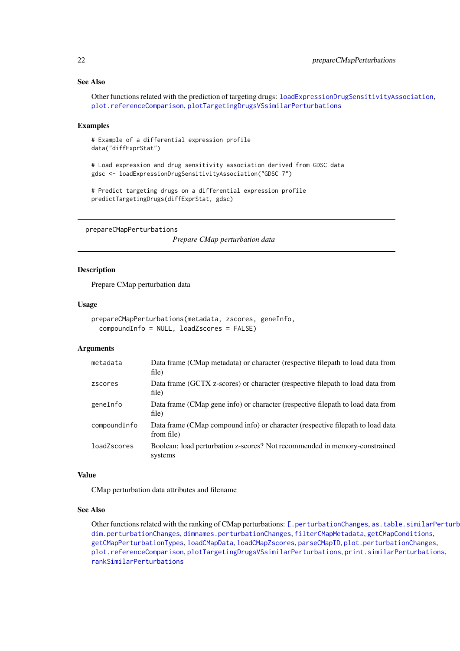#### See Also

Other functions related with the prediction of targeting drugs: [loadExpressionDrugSensitivityAssociation](#page-13-2), [plot.referenceComparison](#page-16-1), [plotTargetingDrugsVSsimilarPerturbations](#page-19-1)

#### Examples

# Example of a differential expression profile data("diffExprStat")

# Load expression and drug sensitivity association derived from GDSC data gdsc <- loadExpressionDrugSensitivityAssociation("GDSC 7")

# Predict targeting drugs on a differential expression profile predictTargetingDrugs(diffExprStat, gdsc)

<span id="page-21-1"></span>prepareCMapPerturbations

*Prepare CMap perturbation data*

# Description

Prepare CMap perturbation data

#### Usage

```
prepareCMapPerturbations(metadata, zscores, geneInfo,
 compoundInfo = NULL, loadZscores = FALSE)
```
#### Arguments

| metadata     | Data frame (CMap metadata) or character (respective filepath to load data from<br>file)      |
|--------------|----------------------------------------------------------------------------------------------|
| zscores      | Data frame (GCTX z-scores) or character (respective filepath to load data from<br>file)      |
| geneInfo     | Data frame (CMap gene info) or character (respective filepath to load data from<br>file)     |
| compoundInfo | Data frame (CMap compound info) or character (respective filepath to load data<br>from file) |
| loadZscores  | Boolean: load perturbation z-scores? Not recommended in memory-constrained<br>systems        |

#### Value

CMap perturbation data attributes and filename

#### See Also

Other functions related with the ranking of CMap perturbations: [\[.perturbationChanges](#page-26-1), as.table.similarPerturb [dim.perturbationChanges](#page-5-1), [dimnames.perturbationChanges](#page-6-1), [filterCMapMetadata](#page-7-1), [getCMapConditions](#page-8-1), [getCMapPerturbationTypes](#page-9-1), [loadCMapData](#page-10-1), [loadCMapZscores](#page-11-2), [parseCMapID](#page-13-1), [plot.perturbationChanges](#page-15-1), [plot.referenceComparison](#page-16-1), [plotTargetingDrugsVSsimilarPerturbations](#page-19-1), [print.similarPerturbations](#page-23-1), [rankSimilarPerturbations](#page-24-1)

<span id="page-21-0"></span>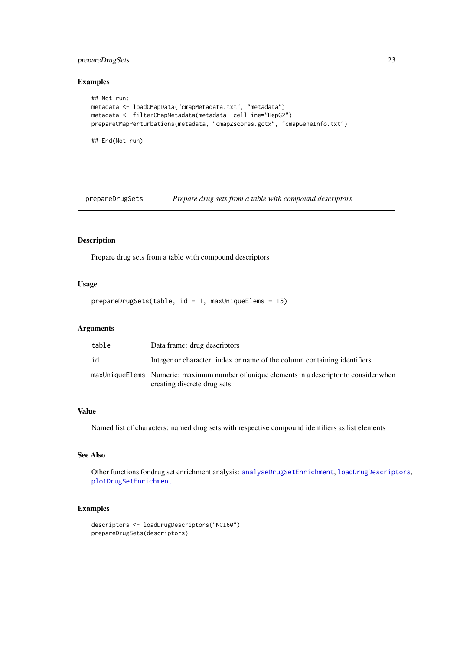#### <span id="page-22-0"></span>prepareDrugSets 23

# Examples

```
## Not run:
metadata <- loadCMapData("cmapMetadata.txt", "metadata")
metadata <- filterCMapMetadata(metadata, cellLine="HepG2")
prepareCMapPerturbations(metadata, "cmapZscores.gctx", "cmapGeneInfo.txt")
```
## End(Not run)

<span id="page-22-1"></span>prepareDrugSets *Prepare drug sets from a table with compound descriptors*

# Description

Prepare drug sets from a table with compound descriptors

# Usage

prepareDrugSets(table, id = 1, maxUniqueElems = 15)

# Arguments

| table | Data frame: drug descriptors                                                                                              |
|-------|---------------------------------------------------------------------------------------------------------------------------|
| id    | Integer or character: index or name of the column containing identifiers                                                  |
|       | maxUniqueElems Numeric: maximum number of unique elements in a descriptor to consider when<br>creating discrete drug sets |

# Value

Named list of characters: named drug sets with respective compound identifiers as list elements

# See Also

Other functions for drug set enrichment analysis: [analyseDrugSetEnrichment](#page-1-1), [loadDrugDescriptors](#page-11-1), [plotDrugSetEnrichment](#page-18-1)

# Examples

```
descriptors <- loadDrugDescriptors("NCI60")
prepareDrugSets(descriptors)
```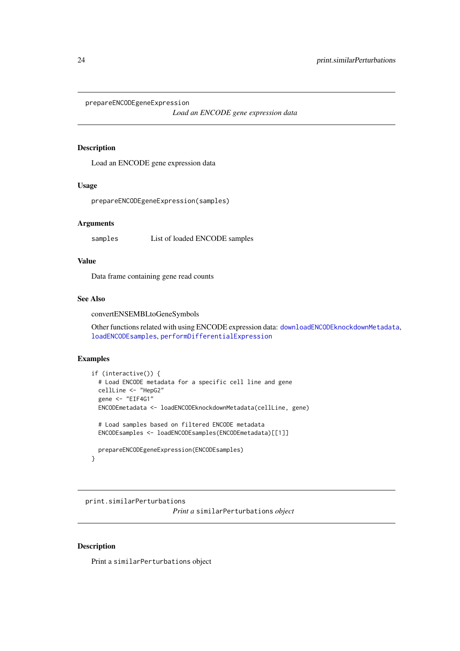<span id="page-23-2"></span><span id="page-23-0"></span>prepareENCODEgeneExpression

*Load an ENCODE gene expression data*

# Description

Load an ENCODE gene expression data

#### Usage

prepareENCODEgeneExpression(samples)

# Arguments

samples List of loaded ENCODE samples

# Value

Data frame containing gene read counts

#### See Also

convertENSEMBLtoGeneSymbols

Other functions related with using ENCODE expression data: [downloadENCODEknockdownMetadata](#page-7-2), [loadENCODEsamples](#page-12-1), [performDifferentialExpression](#page-14-1)

# Examples

```
if (interactive()) {
  # Load ENCODE metadata for a specific cell line and gene
  cellLine <- "HepG2"
  gene <- "EIF4G1"
 ENCODEmetadata <- loadENCODEknockdownMetadata(cellLine, gene)
  # Load samples based on filtered ENCODE metadata
  ENCODEsamples <- loadENCODEsamples(ENCODEmetadata)[[1]]
 prepareENCODEgeneExpression(ENCODEsamples)
}
```
<span id="page-23-1"></span>print.similarPerturbations *Print a* similarPerturbations *object*

# Description

Print a similarPerturbations object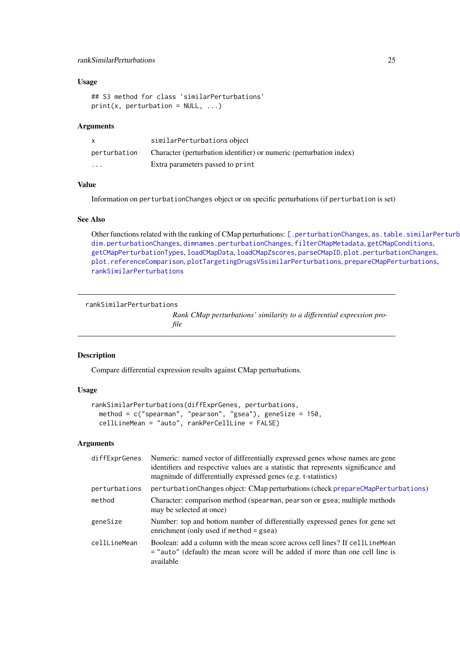#### <span id="page-24-0"></span>rankSimilarPerturbations 25

#### Usage

```
## S3 method for class 'similarPerturbations'
print(x, perturbation = NULL, ...)
```
# Arguments

| $\mathsf{x}$ | similarPerturbations object                                         |
|--------------|---------------------------------------------------------------------|
| perturbation | Character (perturbation identifier) or numeric (perturbation index) |
| .            | Extra parameters passed to print                                    |

# Value

Information on perturbationChanges object or on specific perturbations (if perturbation is set)

### See Also

Other functions related with the ranking of CMap perturbations: [\[.perturbationChanges](#page-26-1), as.table.similarPerturb [dim.perturbationChanges](#page-5-1), [dimnames.perturbationChanges](#page-6-1), [filterCMapMetadata](#page-7-1), [getCMapConditions](#page-8-1), [getCMapPerturbationTypes](#page-9-1), [loadCMapData](#page-10-1), [loadCMapZscores](#page-11-2), [parseCMapID](#page-13-1), [plot.perturbationChanges](#page-15-1), [plot.referenceComparison](#page-16-1), [plotTargetingDrugsVSsimilarPerturbations](#page-19-1), [prepareCMapPerturbations](#page-21-1), [rankSimilarPerturbations](#page-24-1)

```
rankSimilarPerturbations
```
*Rank CMap perturbations' similarity to a differential expression profile*

#### Description

Compare differential expression results against CMap perturbations.

#### Usage

```
rankSimilarPerturbations(diffExprGenes, perturbations,
 method = c("spearman", "pearson", "gsea"), geneSize = 150,
 cellLineMean = "auto", rankPerCellLine = FALSE)
```
#### Arguments

| diffExprGenes | Numeric: named vector of differentially expressed genes whose names are gene<br>identifiers and respective values are a statistic that represents significance and<br>magnitude of differentially expressed genes (e.g. t-statistics) |
|---------------|---------------------------------------------------------------------------------------------------------------------------------------------------------------------------------------------------------------------------------------|
| perturbations | perturbationChanges object: CMap perturbations (check prepareCMapPerturbations)                                                                                                                                                       |
| method        | Character: comparison method (spearman, pearson or gsea; multiple methods<br>may be selected at once)                                                                                                                                 |
| geneSize      | Number: top and bottom number of differentially expressed genes for gene set<br>enrichment (only used if method $=$ gsea)                                                                                                             |
| cellLineMean  | Boolean: add a column with the mean score across cell lines? If cell Line Mean<br>= "auto" (default) the mean score will be added if more than one cell line is<br>available                                                          |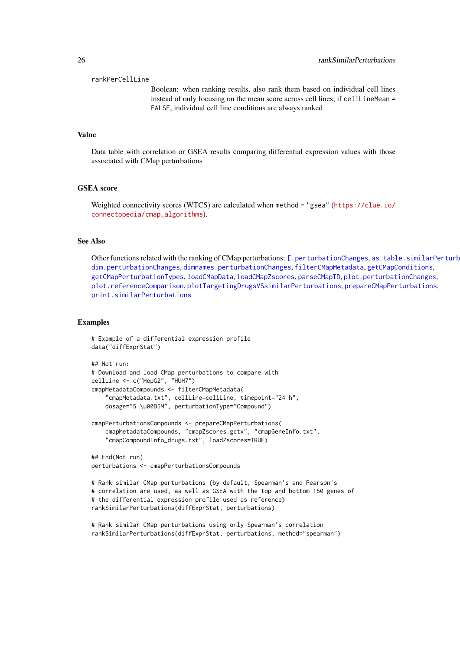#### <span id="page-25-0"></span>rankPerCellLine

Boolean: when ranking results, also rank them based on individual cell lines instead of only focusing on the mean score across cell lines; if cellLineMean = FALSE, individual cell line conditions are always ranked

# Value

Data table with correlation or GSEA results comparing differential expression values with those associated with CMap perturbations

#### GSEA score

Weighted connectivity scores (WTCS) are calculated when method = "gsea" ([https://clue.io/](https://clue.io/connectopedia/cmap_algorithms) [connectopedia/cmap\\_algorithms](https://clue.io/connectopedia/cmap_algorithms)).

# See Also

Other functions related with the ranking of CMap perturbations: [\[.perturbationChanges](#page-26-1), as.table.similarPerturb [dim.perturbationChanges](#page-5-1), [dimnames.perturbationChanges](#page-6-1), [filterCMapMetadata](#page-7-1), [getCMapConditions](#page-8-1), [getCMapPerturbationTypes](#page-9-1), [loadCMapData](#page-10-1), [loadCMapZscores](#page-11-2), [parseCMapID](#page-13-1), [plot.perturbationChanges](#page-15-1), [plot.referenceComparison](#page-16-1), [plotTargetingDrugsVSsimilarPerturbations](#page-19-1), [prepareCMapPerturbations](#page-21-1), [print.similarPerturbations](#page-23-1)

#### Examples

```
# Example of a differential expression profile
data("diffExprStat")
## Not run:
# Download and load CMap perturbations to compare with
cellLine <- c("HepG2", "HUH7")
cmapMetadataCompounds <- filterCMapMetadata(
    "cmapMetadata.txt", cellLine=cellLine, timepoint="24 h",
    dosage="5 \u00B5M", perturbationType="Compound")
cmapPerturbationsCompounds <- prepareCMapPerturbations(
    cmapMetadataCompounds, "cmapZscores.gctx", "cmapGeneInfo.txt",
    "cmapCompoundInfo_drugs.txt", loadZscores=TRUE)
## End(Not run)
```

```
perturbations <- cmapPerturbationsCompounds
```

```
# Rank similar CMap perturbations (by default, Spearman's and Pearson's
# correlation are used, as well as GSEA with the top and bottom 150 genes of
# the differential expression profile used as reference)
rankSimilarPerturbations(diffExprStat, perturbations)
```
# Rank similar CMap perturbations using only Spearman's correlation rankSimilarPerturbations(diffExprStat, perturbations, method="spearman")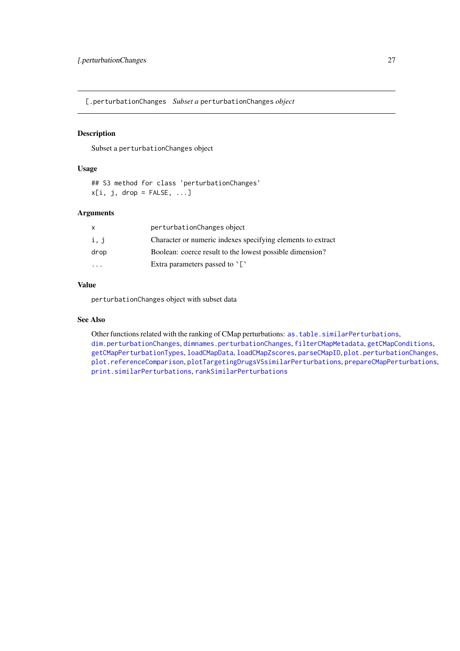<span id="page-26-1"></span><span id="page-26-0"></span>[.perturbationChanges *Subset a* perturbationChanges *object*

# Description

Subset a perturbationChanges object

#### Usage

```
## S3 method for class 'perturbationChanges'
x[i, j, drop = FALSE, ...]
```
# Arguments

| x    | perturbationChanges object                                  |
|------|-------------------------------------------------------------|
| i, j | Character or numeric indexes specifying elements to extract |
| drop | Boolean: coerce result to the lowest possible dimension?    |
|      | Extra parameters passed to $\Gamma$                         |

# Value

perturbationChanges object with subset data

# See Also

Other functions related with the ranking of CMap perturbations: [as.table.similarPerturbations](#page-3-1), [dim.perturbationChanges](#page-5-1), [dimnames.perturbationChanges](#page-6-1), [filterCMapMetadata](#page-7-1), [getCMapConditions](#page-8-1), [getCMapPerturbationTypes](#page-9-1), [loadCMapData](#page-10-1), [loadCMapZscores](#page-11-2), [parseCMapID](#page-13-1), [plot.perturbationChanges](#page-15-1), [plot.referenceComparison](#page-16-1), [plotTargetingDrugsVSsimilarPerturbations](#page-19-1), [prepareCMapPerturbations](#page-21-1), [print.similarPerturbations](#page-23-1), [rankSimilarPerturbations](#page-24-1)